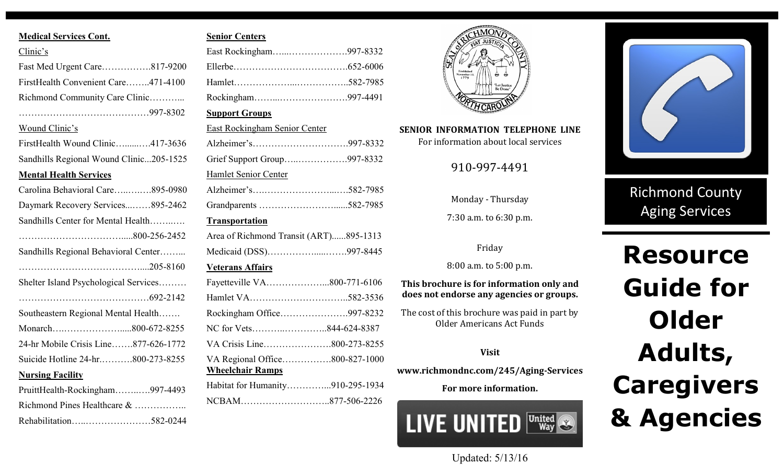### **Medical Services Cont.**

| Clinic's                                |  |
|-----------------------------------------|--|
| Fast Med Urgent Care817-9200            |  |
| FirstHealth Convenient Care471-4100     |  |
| Richmond Community Care Clinic          |  |
|                                         |  |
| Wound Clinic's                          |  |
| FirstHealth Wound Clinic417-3636        |  |
| Sandhills Regional Wound Clinic205-1525 |  |
| <b>Mental Health Services</b>           |  |
| Carolina Behavioral Care895-0980        |  |
| Daymark Recovery Services895-2462       |  |
| Sandhills Center for Mental Health      |  |
|                                         |  |
| Sandhills Regional Behavioral Center    |  |
|                                         |  |
| Shelter Island Psychological Services   |  |
|                                         |  |
| Southeastern Regional Mental Health     |  |
|                                         |  |
| 24-hr Mobile Crisis Line877-626-1772    |  |
| Suicide Hotline 24-hr800-273-8255       |  |
| <b>Nursing Facility</b>                 |  |
| PruittHealth-Rockingham997-4493         |  |
| Richmond Pines Healthcare &             |  |
|                                         |  |

## **Senior Centers**

| East Rockingham997-8332                |  |
|----------------------------------------|--|
|                                        |  |
|                                        |  |
| Rockingham997-4491                     |  |
| <b>Support Groups</b>                  |  |
| <b>East Rockingham Senior Center</b>   |  |
|                                        |  |
| Grief Support Group997-8332            |  |
| Hamlet Senior Center                   |  |
|                                        |  |
|                                        |  |
| <b>Transportation</b>                  |  |
| Area of Richmond Transit (ART)895-1313 |  |
| Medicaid (DSS)997-8445                 |  |
| <b>Veterans Affairs</b>                |  |
| Fayetteville VA800-771-6106            |  |
|                                        |  |
| Rockingham Office997-8232              |  |
| NC for Vets844-624-8387                |  |
|                                        |  |
| VA Regional Office800-827-1000         |  |
| <b>Wheelchair Ramps</b>                |  |
| Habitat for Humanity910-295-1934       |  |
|                                        |  |
|                                        |  |



# **SENIOR INFORMATION TELEPHONE LINE**

For information about local services

910-997-4491

Monday - Thursday

7:30 a.m. to 6:30 p.m.

Friday

8:00 a.m. to 5:00 p.m.

**This brochure is for information only and does not endorse any agencies or groups.**

The cost of this brochure was paid in part by Older Americans Act Funds

### **Visit**

**www.richmondnc.com/245/Aging-Services**

**For more information.** 





Richmond County Aging Services

# **Resource Guide for Older Adults, Caregivers & Agencies**